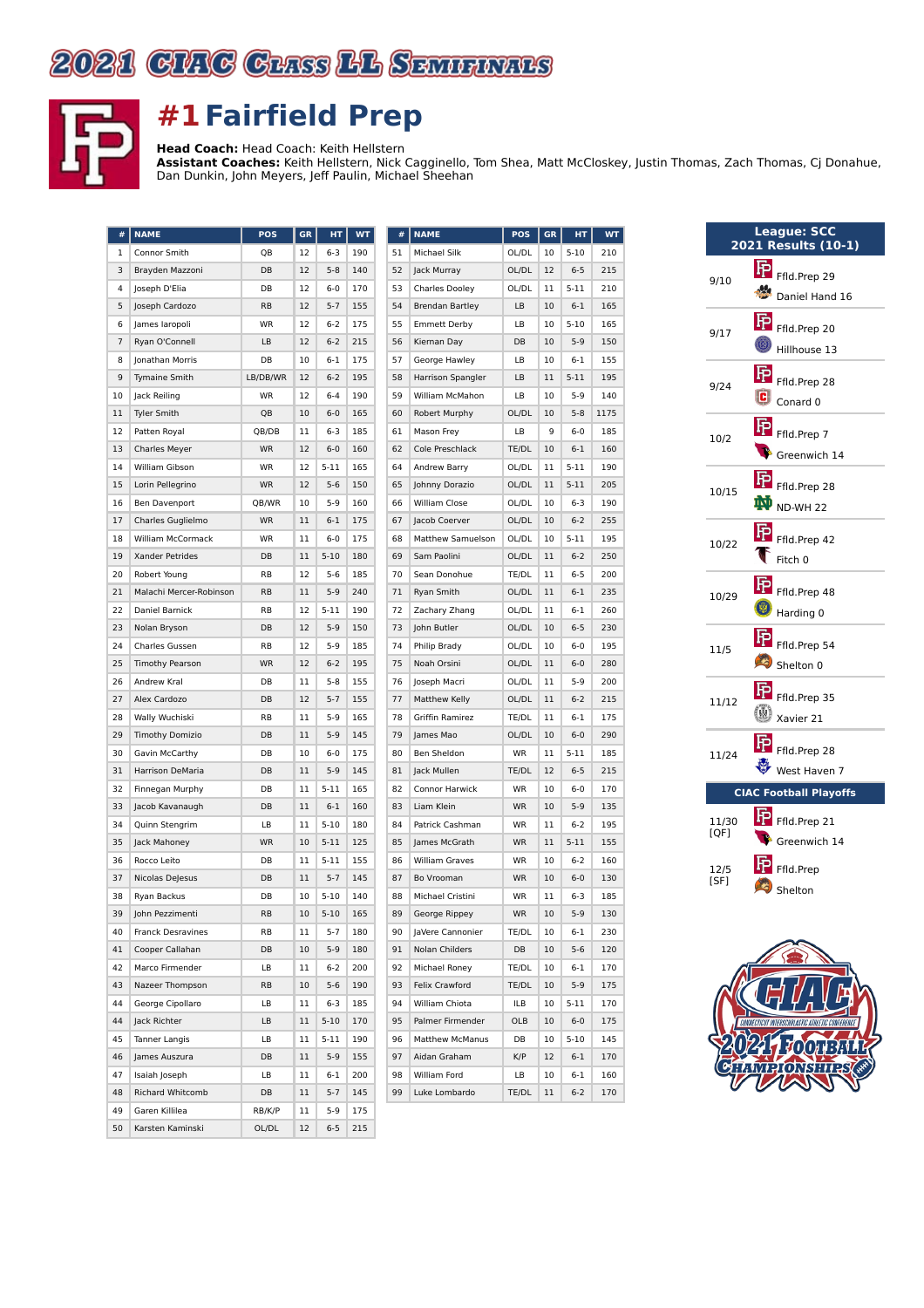



## **#1Fairfield Prep**

**Head Coach:** Head Coach: Keith Hellstern **Assistant Coaches:** Keith Hellstern, Nick Cagginello, Tom Shea, Matt McCloskey, Justin Thomas, Zach Thomas, Cj Donahue, Dan Dunkin, John Meyers, Jeff Paulin, Michael Sheehan

| #  | <b>NAME</b>             | POS       | <b>GR</b> | HТ       | <b>WT</b> | #  | <b>NAME</b>            | <b>POS</b> | <b>GR</b> | HT       | <b>WT</b> |
|----|-------------------------|-----------|-----------|----------|-----------|----|------------------------|------------|-----------|----------|-----------|
| 1  | Connor Smith            | QB        | 12        | $6 - 3$  | 190       | 51 | Michael Silk           | OL/DL      | 10        | $5 - 10$ | 210       |
| 3  | Brayden Mazzoni         | DB        | 12        | $5 - 8$  | 140       | 52 | Jack Murray            | OL/DL      | 12        | $6 - 5$  | 215       |
| 4  | Joseph D'Elia           | DB        | 12        | $6 - 0$  | 170       | 53 | <b>Charles Dooley</b>  | OL/DL      | 11        | $5 - 11$ | 210       |
| 5  | Joseph Cardozo          | RB        | 12        | $5 - 7$  | 155       | 54 | <b>Brendan Bartley</b> | LB         | 10        | $6 - 1$  | 165       |
| 6  | James laropoli          | WR        | 12        | $6 - 2$  | 175       | 55 | <b>Emmett Derby</b>    | LB         | 10        | $5 - 10$ | 165       |
| 7  | Ryan O'Connell          | LB        | 12        | $6 - 2$  | 215       | 56 | Kiernan Day            | DB         | 10        | $5-9$    | 150       |
| 8  | Jonathan Morris         | DB        | 10        | 6-1      | 175       | 57 | George Hawley          | LB         | 10        | $6 - 1$  | 155       |
| 9  | Tymaine Smith           | LB/DB/WR  | 12        | $6 - 2$  | 195       | 58 | Harrison Spangler      | LB         | 11        | $5 - 11$ | 195       |
| 10 | Jack Reiling            | WR        | 12        | $6 - 4$  | 190       | 59 | William McMahon        | LB         | 10        | $5-9$    | 140       |
| 11 | <b>Tyler Smith</b>      | QB        | 10        | $6 - 0$  | 165       | 60 | Robert Murphy          | OL/DL      | 10        | $5 - 8$  | 1175      |
| 12 | Patten Royal            | QB/DB     | 11        | $6 - 3$  | 185       | 61 | Mason Frey             | LB         | 9         | $6 - 0$  | 185       |
| 13 | <b>Charles Meyer</b>    | <b>WR</b> | 12        | $6 - 0$  | 160       | 62 | Cole Preschlack        | TE/DL      | 10        | $6 - 1$  | 160       |
| 14 | William Gibson          | WR        | 12        | $5 - 11$ | 165       | 64 | Andrew Barry           | OL/DL      | 11        | 5-11     | 190       |
| 15 | Lorin Pellegrino        | <b>WR</b> | 12        | $5 - 6$  | 150       | 65 | Johnny Dorazio         | OL/DL      | 11        | $5 - 11$ | 205       |
| 16 | Ben Davenport           | QB/WR     | 10        | $5-9$    | 160       | 66 | William Close          | OL/DL      | 10        | $6 - 3$  | 190       |
| 17 | Charles Guglielmo       | <b>WR</b> | 11        | $6 - 1$  | 175       | 67 | Jacob Coerver          | OL/DL      | 10        | $6 - 2$  | 255       |
| 18 | William McCormack       | WR        | 11        | $6 - 0$  | 175       | 68 | Matthew Samuelson      | OL/DL      | 10        | $5 - 11$ | 195       |
| 19 | Xander Petrides         | DB        | 11        | $5 - 10$ | 180       | 69 | Sam Paolini            | OL/DL      | 11        | $6 - 2$  | 250       |
| 20 | Robert Young            | RB        | 12        | $5-6$    | 185       | 70 | Sean Donohue           | TE/DL      | 11        | $6 - 5$  | 200       |
| 21 | Malachi Mercer-Robinson | <b>RB</b> | 11        | $5-9$    | 240       | 71 | Ryan Smith             | OL/DL      | 11        | $6 - 1$  | 235       |
| 22 | Daniel Barnick          | RB        | 12        | $5 - 11$ | 190       | 72 | Zachary Zhang          | OL/DL      | 11        | 6-1      | 260       |
| 23 | Nolan Bryson            | DB        | 12        | $5 - 9$  | 150       | 73 | John Butler            | OL/DL      | 10        | $6 - 5$  | 230       |
| 24 | Charles Gussen          | RB        | 12        | $5-9$    | 185       | 74 | Philip Brady           | OL/DL      | 10        | $6 - 0$  | 195       |
| 25 | <b>Timothy Pearson</b>  | <b>WR</b> | 12        | $6 - 2$  | 195       | 75 | Noah Orsini            | OL/DL      | 11        | $6 - 0$  | 280       |
| 26 | Andrew Kral             | DB        | 11        | $5-8$    | 155       | 76 | Joseph Macri           | OL/DL      | 11        | $5-9$    | 200       |
| 27 | Alex Cardozo            | DB        | 12        | $5 - 7$  | 155       | 77 | <b>Matthew Kelly</b>   | OL/DL      | 11        | $6 - 2$  | 215       |
| 28 | Wally Wuchiski          | RB        | 11        | $5-9$    | 165       | 78 | Griffin Ramirez        | TE/DL      | 11        | $6 - 1$  | 175       |
| 29 | <b>Timothy Domizio</b>  | DB        | 11        | $5 - 9$  | 145       | 79 | James Mao              | OL/DL      | 10        | $6-0$    | 290       |
| 30 | Gavin McCarthy          | DB        | 10        | $6 - 0$  | 175       | 80 | Ben Sheldon            | WR         | 11        | $5 - 11$ | 185       |
| 31 | Harrison DeMaria        | DB        | 11        | $5-9$    | 145       | 81 | Jack Mullen            | TE/DL      | 12        | $6 - 5$  | 215       |
| 32 | Finnegan Murphy         | DB        | 11        | $5 - 11$ | 165       | 82 | Connor Harwick         | WR         | 10        | $6 - 0$  | 170       |
| 33 | Jacob Kavanaugh         | DB        | 11        | $6 - 1$  | 160       | 83 | Liam Klein             | <b>WR</b>  | 10        | $5-9$    | 135       |
| 34 | Quinn Stengrim          | LB        | 11        | $5 - 10$ | 180       | 84 | Patrick Cashman        | WR         | 11        | $6 - 2$  | 195       |
| 35 | Jack Mahoney            | <b>WR</b> | 10        | $5 - 11$ | 125       | 85 | James McGrath          | <b>WR</b>  | 11        | $5 - 11$ | 155       |
| 36 | Rocco Leito             | DB        | 11        | $5 - 11$ | 155       | 86 | <b>William Graves</b>  | WR         | 10        | $6 - 2$  | 160       |
| 37 | Nicolas DeJesus         | DB        | 11        | $5 - 7$  | 145       | 87 | Bo Vrooman             | <b>WR</b>  | 10        | $6-0$    | 130       |
| 38 | Ryan Backus             | DB        | 10        | $5 - 10$ | 140       | 88 | Michael Cristini       | WR         | 11        | $6 - 3$  | 185       |
| 39 | John Pezzimenti         | <b>RB</b> | 10        | $5 - 10$ | 165       | 89 | George Rippey          | <b>WR</b>  | 10        | $5 - 9$  | 130       |
| 40 | Franck Desravines       | RB        | 11        | 5-7      | 180       | 90 | JaVere Cannonier       | TE/DL      | 10        | $6 - 1$  | 230       |
| 41 | Cooper Callahan         | DB        | 10        | $5-9$    | 180       | 91 | Nolan Childers         | DB         | 10        | $5-6$    | 120       |
| 42 | Marco Firmender         | LB        | 11        | $6 - 2$  | 200       | 92 | Michael Roney          | TE/DL      | 10        | $6 - 1$  | 170       |
| 43 | Nazeer Thompson         | RB        | 10        | $5-6$    | 190       | 93 | Felix Crawford         | TE/DL      | 10        | $5-9$    | 175       |
| 44 | George Cipollaro        | LB        | 11        | 6-3      | 185       | 94 | William Chiota         | ILB        | 10        | 5-11     | 170       |
| 44 | Jack Richter            | LB        | 11        | $5 - 10$ | 170       | 95 | Palmer Firmender       | OLB        | 10        | $6-0$    | 175       |
| 45 | Tanner Langis           | LB        | 11        | 5-11     | 190       | 96 | <b>Matthew McManus</b> | DB         | 10        | $5 - 10$ | 145       |
| 46 | James Auszura           | DB        | 11        | $5-9$    | 155       | 97 | Aidan Graham           | K/P        | 12        | $6 - 1$  | 170       |
| 47 | Isaiah Joseph           | LB        | 11        | 6-1      | 200       | 98 | William Ford           | LB         | 10        | 6-1      | 160       |
| 48 | Richard Whitcomb        | DB        | 11        | $5-7$    | 145       | 99 | Luke Lombardo          | TE/DL      | 11        | $6 - 2$  | 170       |
| 49 | Garen Killilea          | RB/K/P    | 11        | 5-9      | 175       |    |                        |            |           |          |           |
| 50 | Karsten Kaminski        | OL/DL     | 12        | $6 - 5$  | 215       |    |                        |            |           |          |           |